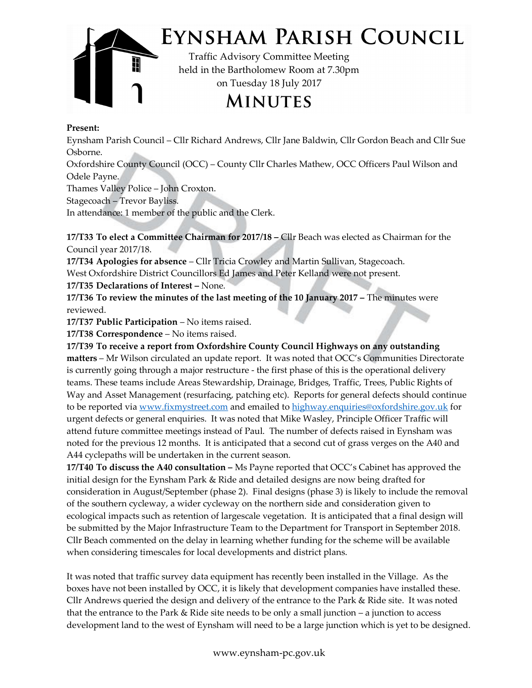

## EYNSHAM PARISH COUNCIL

Traffic Advisory Committee Meeting held in the Bartholomew Room at 7.30pm on Tuesday 18 July 2017

**MINUTES** 

## Present:

Eynsham Parish Council – Cllr Richard Andrews, Cllr Jane Baldwin, Cllr Gordon Beach and Cllr Sue Osborne.

Oxfordshire County Council (OCC) – County Cllr Charles Mathew, OCC Officers Paul Wilson and Odele Payne.

Thames Valley Police – John Croxton.

Stagecoach – Trevor Bayliss.

In attendance: 1 member of the public and the Clerk.

17/T33 To elect a Committee Chairman for 2017/18 – Cllr Beach was elected as Chairman for the Council year 2017/18.

17/T34 Apologies for absence – Cllr Tricia Crowley and Martin Sullivan, Stagecoach. West Oxfordshire District Councillors Ed James and Peter Kelland were not present.

17/T35 Declarations of Interest – None.

17/T36 To review the minutes of the last meeting of the 10 January 2017 – The minutes were reviewed.

17/T37 Public Participation – No items raised.

17/T38 Correspondence – No items raised.

17/T39 To receive a report from Oxfordshire County Council Highways on any outstanding matters – Mr Wilson circulated an update report. It was noted that OCC's Communities Directorate is currently going through a major restructure - the first phase of this is the operational delivery teams. These teams include Areas Stewardship, Drainage, Bridges, Traffic, Trees, Public Rights of Way and Asset Management (resurfacing, patching etc). Reports for general defects should continue to be reported via www.fixmystreet.com and emailed to highway.enquiries@oxfordshire.gov.uk for urgent defects or general enquiries. It was noted that Mike Wasley, Principle Officer Traffic will attend future committee meetings instead of Paul. The number of defects raised in Eynsham was noted for the previous 12 months. It is anticipated that a second cut of grass verges on the A40 and A44 cyclepaths will be undertaken in the current season.

17/T40 To discuss the A40 consultation  $-$  Ms Payne reported that OCC's Cabinet has approved the initial design for the Eynsham Park & Ride and detailed designs are now being drafted for consideration in August/September (phase 2). Final designs (phase 3) is likely to include the removal of the southern cycleway, a wider cycleway on the northern side and consideration given to ecological impacts such as retention of largescale vegetation. It is anticipated that a final design will be submitted by the Major Infrastructure Team to the Department for Transport in September 2018. Cllr Beach commented on the delay in learning whether funding for the scheme will be available when considering timescales for local developments and district plans.

 development land to the west of Eynsham will need to be a large junction which is yet to be designed.It was noted that traffic survey data equipment has recently been installed in the Village. As the boxes have not been installed by OCC, it is likely that development companies have installed these. Cllr Andrews queried the design and delivery of the entrance to the Park & Ride site. It was noted that the entrance to the Park & Ride site needs to be only a small junction – a junction to access